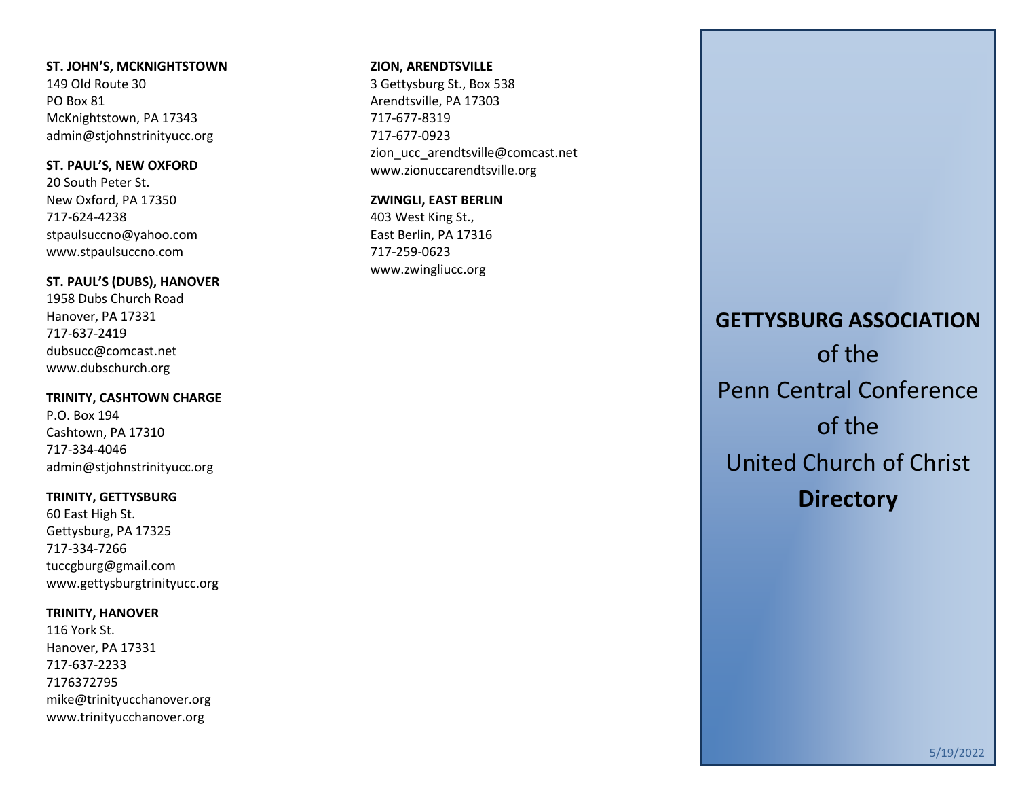## **ST. JOHN'S, MCKNIGHTSTOWN**

149 Old Route 30 PO Box 81 McKnightstown, PA 17343 [admin@stjohnstrinityucc.org](mailto:admin@stjohnstrinityucc.org)

## **ST. PAUL'S, NEW OXFORD**

20 South Peter St. New Oxford, PA 17350 717-624-4238 [stpaulsuccno@yahoo.com](mailto:stpaulsuccno@yahoo.com) www.stpaulsuccno.com

## **ST. PAUL'S (DUBS), HANOVER**

1958 Dubs Church Road Hanover, PA 17331 717-637-2419 [dubsucc@comcast.net](mailto:dubsucc@comcast.net) [www.dubschurch.org](http://www.dubschurch.org/)

## **TRINITY, CASHTOWN CHARGE**

P.O. Box 194 Cashtown, PA 17310 717-334-4046 [admin@stjohnstrinityucc.org](mailto:admin@stjohnstrinityucc.org)

## **TRINITY, GETTYSBURG**

60 East High St. Gettysburg, PA 17325 717-334-7266 [tuccgburg@gmail.com](mailto:tuccgburg@gmail.com) [www.gettysburgtrinityucc.org](http://www.gettysburgtrinityucc.org/)

## **TRINITY, HANOVER**

116 York St. Hanover, PA 17331 717-637-2233 7176372795 [mike@trinityucchanover.org](mailto:mike@trinityucchanover.org) [www.trinityucchanover.org](http://www.trinityucchanover.org/)

#### **ZION, ARENDTSVILLE**

3 Gettysburg St., Box 538 Arendtsville, PA 17303 717-677-8319 717-677-0923 [zion\\_ucc\\_arendtsville@comcast.net](mailto:zion_ucc_arendtsville@comcast.net) [www.zionuccarendtsville.org](http://www.zionuccarendtsville.org/)

## **ZWINGLI, EAST BERLIN**

403 West King St., East Berlin, PA 17316 717-259-0623 [www.zwingliucc.org](http://www.zwingliucc.org/)

# **GETTYSBURG ASSOCIATION** of the Penn Central Conference of the United Church of Christ **Directory**